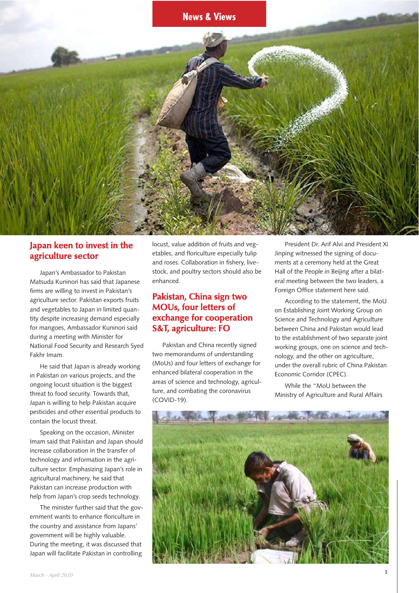

## **Japan keen to invest in the agriculture sector**

Japan's Ambassador to Pakistan Matsuda Kuninori has said that Japanese firms are willing to invest in Pakistan's agriculture sector. Pakistan exports fruits and vegetables to Japan in limited quantity despite increasing demand especially for mangoes, Ambassador Kuninori said during a meeting with Minister for National Food Security and Research Syed Fakhr Imam.

He said that Japan is already working in Pakistan on various projects, and the ongoing locust situation is the biggest threat to food security. Towards that, Japan is willing to help Pakistan acquire pesticides and other essential products to contain the locust threat.

Speaking on the occasion, Minister Imam said that Pakistan and Japan should increase collaboration in the transfer of technology and information in the agriculture sector. Emphasizing Japan's role in agricultural machinery, he said that Pakistan can increase production with help from Japan's crop seeds technology.

The minister further said that the government wants to enhance floriculture in the country and assistance from Japans' government will be highly valuable. During the meeting, it was discussed that Japan will facilitate Pakistan in controlling

locust, value addition of fruits and vegetables, and floriculture especially tulip and roses. Collaboration in fishery, livestock, and poultry sectors should also be enhanced.

## **Pakistan, China sign two MOUs, four letters of exchange for cooperation S&T, agriculture: FO**

Pakistan and China recently signed two memorandums of understanding (MoUs) and four letters of exchange for enhanced bilateral cooperation in the areas of science and technology, agriculture, and combating the coronavirus (COVID-19).

President Dr. Arif Alvi and President Xi Jinping witnessed the signing of documents at a ceremony held at the Great Hall of the People in Beijing after a bilateral meeting between the two leaders, a Foreign Office statement here said.

According to the statement, the MoU on Establishing Joint Working Group on Science and Technology and Agriculture between China and Pakistan would lead to the establishment of two separate joint working groups, one on science and technology, and the other on agriculture, under the overall rubric of China Pakistan Economic Corridor (CPEC).

While the "MoU between the Ministry of Agriculture and Rural Affairs

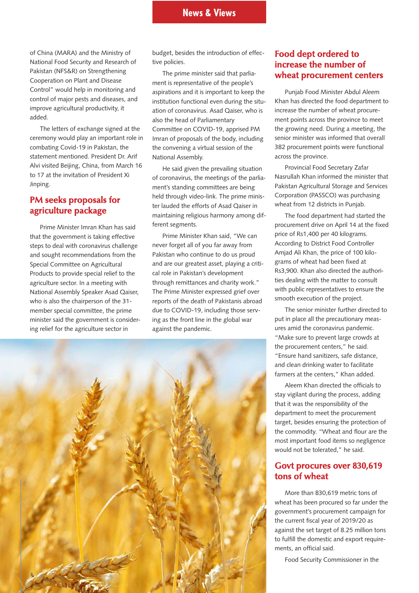#### **News & Views**

of China (MARA) and the Ministry of National Food Security and Research of Pakistan (NFS&R) on Strengthening Cooperation on Plant and Disease Control" would help in monitoring and control of major pests and diseases, and improve agricultural productivity, it added.

The letters of exchange signed at the ceremony would play an important role in combating Covid-19 in Pakistan, the statement mentioned. President Dr. Arif Alvi visited Beijing, China, from March 16 to 17 at the invitation of President Xi Jinping.

## **PM seeks proposals for agriculture package**

Prime Minister Imran Khan has said that the government is taking effective steps to deal with coronavirus challenge and sought recommendations from the Special Committee on Agricultural Products to provide special relief to the agriculture sector. In a meeting with National Assembly Speaker Asad Qaiser, who is also the chairperson of the 31 member special committee, the prime minister said the government is considering relief for the agriculture sector in

budget, besides the introduction of effective policies.

The prime minister said that parliament is representative of the people's aspirations and it is important to keep the institution functional even during the situation of coronavirus. Asad Qaiser, who is also the head of Parliamentary Committee on COVID-19, apprised PM Imran of proposals of the body, including the convening a virtual session of the National Assembly.

He said given the prevailing situation of coronavirus, the meetings of the parliament's standing committees are being held through video-link. The prime minister lauded the efforts of Asad Qaiser in maintaining religious harmony among different segments.

Prime Minister Khan said, "We can never forget all of you far away from Pakistan who continue to do us proud and are our greatest asset, playing a critical role in Pakistan's development through remittances and charity work." The Prime Minister expressed grief over reports of the death of Pakistanis abroad due to COVID-19, including those serving as the front line in the global war against the pandemic.



## **Food dept ordered to increase the number of wheat procurement centers**

Punjab Food Minister Abdul Aleem Khan has directed the food department to increase the number of wheat procurement points across the province to meet the growing need. During a meeting, the senior minister was informed that overall 382 procurement points were functional across the province.

Provincial Food Secretary Zafar Nasrullah Khan informed the minister that Pakistan Agricultural Storage and Services Corporation (PASSCO) was purchasing wheat from 12 districts in Punjab.

The food department had started the procurement drive on April 14 at the fixed price of Rs1,400 per 40 kilograms. According to District Food Controller Amjad Ali Khan, the price of 100 kilograms of wheat had been fixed at Rs3,900. Khan also directed the authorities dealing with the matter to consult with public representatives to ensure the smooth execution of the project.

The senior minister further directed to put in place all the precautionary measures amid the coronavirus pandemic. "Make sure to prevent large crowds at the procurement centers," he said. "Ensure hand sanitizers, safe distance, and clean drinking water to facilitate farmers at the centers," Khan added.

Aleem Khan directed the officials to stay vigilant during the process, adding that it was the responsibility of the department to meet the procurement target, besides ensuring the protection of the commodity. "Wheat and flour are the most important food items so negligence would not be tolerated," he said.

#### **Govt procures over 830,619 tons of wheat**

More than 830,619 metric tons of wheat has been procured so far under the government's procurement campaign for the current fiscal year of 2019/20 as against the set target of 8.25 million tons to fulfill the domestic and export requirements, an official said.

Food Security Commissioner in the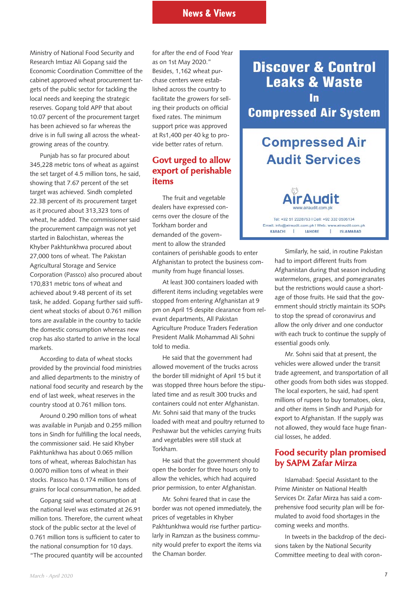Ministry of National Food Security and Research Imtiaz Ali Gopang said the Economic Coordination Committee of the cabinet approved wheat procurement targets of the public sector for tackling the local needs and keeping the strategic reserves. Gopang told APP that about 10.07 percent of the procurement target has been achieved so far whereas the drive is in full swing all across the wheatgrowing areas of the country.

Punjab has so far procured about 345,228 metric tons of wheat as against the set target of 4.5 million tons, he said, showing that 7.67 percent of the set target was achieved. Sindh completed 22.38 percent of its procurement target as it procured about 313,323 tons of wheat, he added. The commissioner said the procurement campaign was not yet started in Balochistan, whereas the Khyber Pakhtunkhwa procured about 27,000 tons of wheat. The Pakistan Agricultural Storage and Service Corporation (Passco) also procured about 170,831 metric tons of wheat and achieved about 9.48 percent of its set task, he added. Gopang further said sufficient wheat stocks of about 0.761 million tons are available in the country to tackle the domestic consumption whereas new crop has also started to arrive in the local markets.

According to data of wheat stocks provided by the provincial food ministries and allied departments to the ministry of national food security and research by the end of last week, wheat reserves in the country stood at 0.761 million tons.

Around 0.290 million tons of wheat was available in Punjab and 0.255 million tons in Sindh for fulfilling the local needs, the commissioner said. He said Khyber Pakhtunkhwa has about 0.065 million tons of wheat, whereas Balochistan has 0.0070 million tons of wheat in their stocks. Passco has 0.174 million tons of grains for local consummation, he added.

Gopang said wheat consumption at the national level was estimated at 26.91 million tons. Therefore, the current wheat stock of the public sector at the level of 0.761 million tons is sufficient to cater to the national consumption for 10 days. "The procured quantity will be accounted

for after the end of Food Year as on 1st May 2020." Besides, 1,162 wheat purchase centers were established across the country to facilitate the growers for selling their products on official fixed rates. The minimum support price was approved at Rs1,400 per 40 kg to provide better rates of return.

## **Govt urged to allow export of perishable items**

The fruit and vegetable dealers have expressed concerns over the closure of the Torkham border and demanded of the government to allow the stranded

containers of perishable goods to enter Afghanistan to protect the business community from huge financial losses.

At least 300 containers loaded with different items including vegetables were stopped from entering Afghanistan at 9 pm on April 15 despite clearance from relevant departments, All Pakistan Agriculture Produce Traders Federation President Malik Mohammad Ali Sohni told to media.

He said that the government had allowed movement of the trucks across the border till midnight of April 15 but it was stopped three hours before the stipulated time and as result 300 trucks and containers could not enter Afghanistan. Mr. Sohni said that many of the trucks loaded with meat and poultry returned to Peshawar but the vehicles carrying fruits and vegetables were still stuck at Torkham.

He said that the government should open the border for three hours only to allow the vehicles, which had acquired prior permission, to enter Afghanistan.

Mr. Sohni feared that in case the border was not opened immediately, the prices of vegetables in Khyber Pakhtunkhwa would rise further particularly in Ramzan as the business community would prefer to export the items via the Chaman border.

**Discover & Control Leaks & Waste** In **Compressed Air System** 

# **Compressed Air Audit Services**



Tel: +92 51 2228763 | Cell: +92 332 0506134 Email: info@airaudit.com.pk | Web: www.airaudit.com.pk I ISLAMABAD KARACHI  $\mathbf{r}$ **LAHORE** 

> Similarly, he said, in routine Pakistan had to import different fruits from Afghanistan during that season including watermelons, grapes, and pomegranates but the restrictions would cause a shortage of those fruits. He said that the government should strictly maintain its SOPs to stop the spread of coronavirus and allow the only driver and one conductor with each truck to continue the supply of essential goods only.

Mr. Sohni said that at present, the vehicles were allowed under the transit trade agreement, and transportation of all other goods from both sides was stopped. The local exporters, he said, had spent millions of rupees to buy tomatoes, okra, and other items in Sindh and Punjab for export to Afghanistan. If the supply was not allowed, they would face huge financial losses, he added.

## **Food security plan promised by SAPM Zafar Mirza**

Islamabad: Special Assistant to the Prime Minister on National Health Services Dr. Zafar Mirza has said a comprehensive food security plan will be formulated to avoid food shortages in the coming weeks and months.

In tweets in the backdrop of the decisions taken by the National Security Committee meeting to deal with coron-